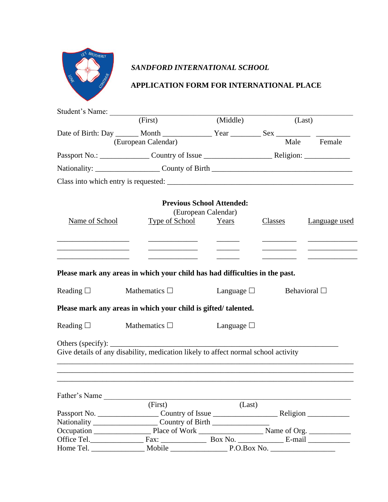

# *SANDFORD INTERNATIONAL SCHOOL*

## **APPLICATION FORM FOR INTERNATIONAL PLACE**

|                   | Student's Name: (First)                                                                                                                              | (Middle)            |         | (Last)            |
|-------------------|------------------------------------------------------------------------------------------------------------------------------------------------------|---------------------|---------|-------------------|
|                   | Date of Birth: Day ______ Month ________________ Year ___________ Sex ___________                                                                    |                     |         |                   |
|                   | (European Calendar)                                                                                                                                  |                     |         | Male Female       |
|                   |                                                                                                                                                      |                     |         |                   |
|                   |                                                                                                                                                      |                     |         |                   |
|                   |                                                                                                                                                      |                     |         |                   |
|                   | <b>Previous School Attended:</b>                                                                                                                     | (European Calendar) |         |                   |
| Name of School    | Type of School                                                                                                                                       | Years               | Classes | Language used     |
|                   |                                                                                                                                                      |                     |         |                   |
|                   |                                                                                                                                                      |                     |         |                   |
|                   | Please mark any areas in which your child has had difficulties in the past.                                                                          |                     |         |                   |
| Reading $\square$ | Mathematics $\square$                                                                                                                                | Language $\square$  |         | Behavioral $\Box$ |
|                   | Please mark any areas in which your child is gifted/talented.                                                                                        |                     |         |                   |
| Reading $\square$ | Mathematics $\Box$                                                                                                                                   | Language $\Box$     |         |                   |
|                   | Others (specify): $\_\_\_\_\_\_\_\_\_\_\_\_\_\_\_\_\_\_\_\_\_$<br>Give details of any disability, medication likely to affect normal school activity |                     |         |                   |
|                   |                                                                                                                                                      |                     |         |                   |
| Father's Name     |                                                                                                                                                      |                     |         |                   |
|                   | (First)                                                                                                                                              | (Last)              |         |                   |
|                   |                                                                                                                                                      |                     |         |                   |
|                   |                                                                                                                                                      |                     |         |                   |
|                   |                                                                                                                                                      |                     |         |                   |
|                   |                                                                                                                                                      |                     |         |                   |
|                   | Mobile P.O.Box No.                                                                                                                                   |                     |         |                   |